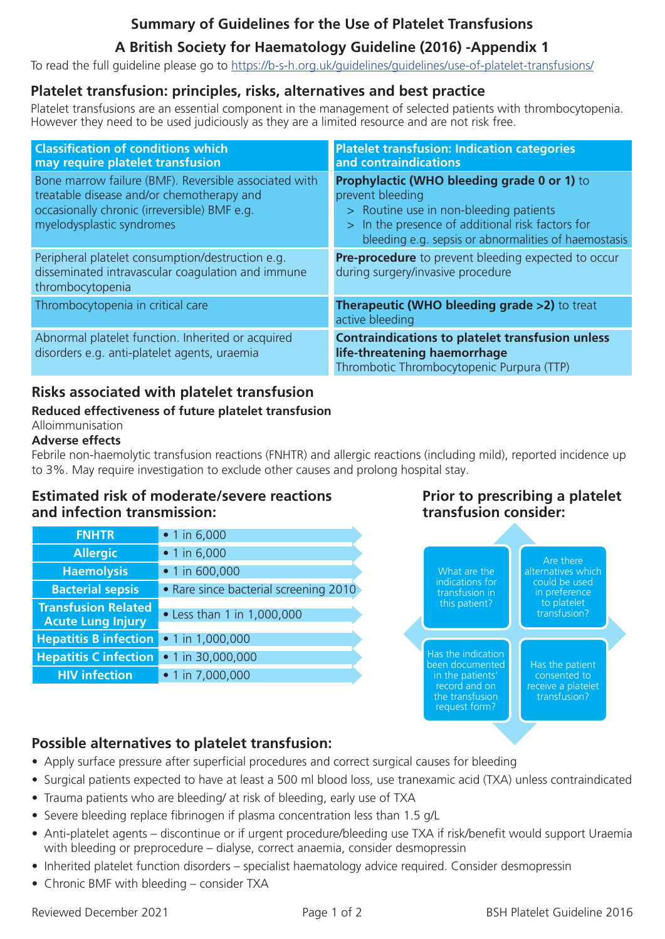## **Summary of Guidelines for the Use of Platelet Transfusions**

# **A British Society for Haematology Guideline (2016) -Appendix 1**

To read the full guideline please go to https://b-s-h.org.uk/guidelines/guidelines/use-of-platelet-transfusions/

### **Platelet transfusion: principles, risks, alternatives and best practice**

Platelet transfusions are an essential component in the management of selected patients with thrombocytopenia. However they need to be used judiciously as they are a limited resource and are not risk free.

| <b>Classification of conditions which</b><br>may require platelet transfusion                                                                                                   | <b>Platelet transfusion: Indication categories</b><br>and contraindications                                                                                                                                                  |
|---------------------------------------------------------------------------------------------------------------------------------------------------------------------------------|------------------------------------------------------------------------------------------------------------------------------------------------------------------------------------------------------------------------------|
| Bone marrow failure (BMF). Reversible associated with<br>treatable disease and/or chemotherapy and<br>occasionally chronic (irreversible) BMF e.g.<br>myelodysplastic syndromes | <b>Prophylactic (WHO bleeding grade 0 or 1)</b> to<br>prevent bleeding<br>> Routine use in non-bleeding patients<br>> In the presence of additional risk factors for<br>bleeding e.g. sepsis or abnormalities of haemostasis |
| Peripheral platelet consumption/destruction e.g.<br>disseminated intravascular coagulation and immune<br>thrombocytopenia                                                       | <b>Pre-procedure</b> to prevent bleeding expected to occur<br>during surgery/invasive procedure                                                                                                                              |
| Thrombocytopenia in critical care                                                                                                                                               | <b>Therapeutic (WHO bleeding grade &gt;2)</b> to treat<br>active bleeding                                                                                                                                                    |
| Abnormal platelet function. Inherited or acquired<br>disorders e.g. anti-platelet agents, uraemia                                                                               | <b>Contraindications to platelet transfusion unless</b><br>life-threatening haemorrhage<br>Thrombotic Thrombocytopenic Purpura (TTP)                                                                                         |

### **Risks associated with platelet transfusion**

#### **Reduced effectiveness of future platelet transfusion** Alloimmunisation

#### **Adverse effects**

Febrile non-haemolytic transfusion reactions (FNHTR) and allergic reactions (including mild), reported incidence up to 3%. May require investigation to exclude other causes and prolong hospital stay.

### **Estimated risk of moderate/severe reactions and infection transmission:**

| <b>FNHTR</b>                                           | $\bullet$ 1 in 6,000                  |
|--------------------------------------------------------|---------------------------------------|
| <b>Allergic</b>                                        | $\bullet$ 1 in 6,000                  |
| <b>Haemolysis</b>                                      | • 1 in 600,000                        |
| <b>Bacterial sepsis</b>                                | . Rare since bacterial screening 2010 |
| <b>Transfusion Related</b><br><b>Acute Lung Injury</b> | • Less than 1 in 1,000,000            |
| <b>Hepatitis B infection</b>                           | • 1 in 1,000,000                      |
| <b>Hepatitis C infection</b>                           | • 1 in 30,000,000                     |
| <b>HIV infection</b>                                   | • 1 in 7,000,000                      |

### **Prior to prescribing a platelet transfusion consider:**



## **Possible alternatives to platelet transfusion:**

- Apply surface pressure after superficial procedures and correct surgical causes for bleeding
- Surgical patients expected to have at least a 500 ml blood loss, use tranexamic acid (TXA) unless contraindicated
- Trauma patients who are bleeding/ at risk of bleeding, early use of TXA
- Severe bleeding replace fibrinogen if plasma concentration less than 1.5 g/L
- Anti-platelet agents discontinue or if urgent procedure/bleeding use TXA if risk/benefit would support Uraemia with bleeding or preprocedure – dialyse, correct anaemia, consider desmopressin
- Inherited platelet function disorders specialist haematology advice required. Consider desmopressin
- Chronic BMF with bleeding consider TXA